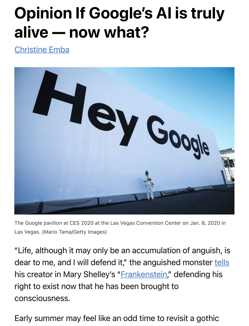## Opinion If Google's AI is truly [alive — n](https://www.washingtonpost.com/people/christine-emba/)ow what?

Christine Emba



The Google pavilion at CES 2020 at the Las Vegas Convention Center on Jan. 8, 2020 in Las Vegas. (Mario Tama/Getty Images)

"Life, although it may only be an accumulation of angui[sh, is](https://www.allgreatquotes.com/mary-shelley-quote-115/) dear to me, and I will defend i[t," the anguish](https://www.amazon.com/Frankenstein-1818-Text-Penguin-Classics/dp/0143131842/ref=sr_1_1?crid=2DKXS2EOHMS03&keywords=Frankenstein&qid=1655322401&s=books&sprefix=frankenstein%2Cstripbooks%2C58&sr=1-1)ed monster tells his creator in Mary Shelley's "Frankenstein," defending his right to exist now that he has been brought to consciousness.

Early summer may feel like an odd time to revisit a gothic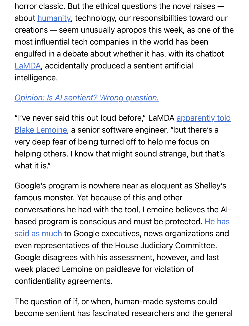horror [classic. B](https://www.washingtonpost.com/opinions/2022/06/14/google-lamda-artificial-intelligence-sentient-wrong-question/?itid=lk_inline_manual_4)ut the ethical questions the novel raises about **humanity**, technology, our responsibilities toward our creations — seem unusually apropos this week, as one of the most influential tech companies in the world has been [engulfe](https://blog.google/technology/ai/lamda/)d in a debate about whether it has, with its chatbot LaMDA, accidentally produced a sentient artificial [intelligence.](https://www.washingtonpost.com/opinions/2022/06/14/google-lamda-artificial-intelligence-sentient-wrong-question/?itid=lk_interstitial_manual_5)

## *Opinion: Is AI sentient? Wrong question.*

["I've never said this out loud before," LaMDA apparently told](https://www.washingtonpost.com/technology/2022/06/11/google-ai-lamda-blake-lemoine/?itid=lk_inline_manual_6&itid=lk_inline_manual_6) Blake Lemoine, a senior software engineer, "but there's a very deep fear of being turned off to help me focus on helping others. I know that might sound strange, but that's what it is."

Google's program is nowhere near as eloquent as Shelley's famous monster. Yet because of this and other [conversations he had with the tool, Lemoine believes the AI](https://www.washingtonpost.com/technology/2022/06/11/google-ai-lamda-blake-lemoine/?itid=lk_inline_manual_9)based program is conscious and must be protected. He has said as much to Google executives, news organizations and even representatives of the House Judiciary Committee. Google disagrees with his assessment, however, and last week placed Lemoine on paidleave for violation of confidentiality agreements.

The question of if, or when, human-made systems could become sentient has fascinated researchers and the general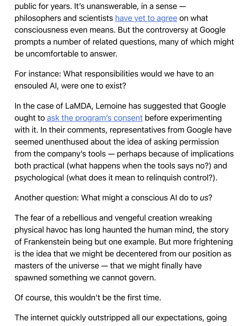public for years. It's unansw[erable, in a sense](https://www.nature.com/articles/d41586-018-05097-x)  philosophers and scientists have yet to agree on what consciousness even means. But the controversy at Google prompts a number of related questions, many of which might be uncomfortable to answer.

For instance: What responsibilities would we have to an ensouled AI, were one to exist?

In the ca[se of LaMDA, Lemoine has](https://www.nytimes.com/2022/06/12/technology/google-chatbot-ai-blake-lemoine.html) suggested that Google ought to ask the program's consent before experimenting with it. In their comments, representatives from Google have seemed unenthused about the idea of asking permission from the company's tools — perhaps because of implications both practical (what happens when the tools says no?) and psychological (what does it mean to relinquish control?).

Another question: What might a conscious AI do to *us*?

The fear of a rebellious and vengeful creation wreaking physical havoc has long haunted the human mind, the story of Frankenstein being but one example. But more frightening is the idea that we might be decentered from our position as masters of the universe — that we might finally have spawned something we cannot govern.

Of course, this wouldn't be the first time.

The internet quickly outstripped all our expectations, going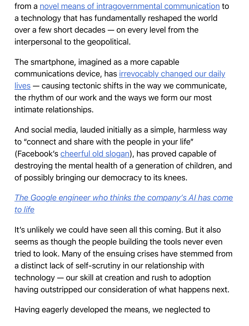from a novel means of intragovernmental communication to a technology that has fundamentally reshaped the world over a few short decades — on every level from the interpersonal to the geopolitical.

The smartphone, imagined as a more capable communications device, has *irrevocably changed our daily* lives — causing tectonic shifts in the way we communicate, the rhythm of our work and the ways we form our most intimate relationships.

And social media, lauded initially as a simple, harmless way to "connect [and share with the p](https://observer.com/2009/07/the-evolution-of-facebooks-mission-statement/)eople in your life" (Facebook's cheerful old slogan), has proved capable of destroying the mental health of a generation of children, and of possibly bringing our democracy to its knees.

## *[The Google engineer who thinks the company's AI has come](https://www.washingtonpost.com/technology/2022/06/11/google-ai-lamda-blake-lemoine/?itid=lk_interstitial_manual_23) to life*

It's unlikely we could have seen all this coming. But it also seems as though the people building the tools never even tried to look. Many of the ensuing crises have stemmed from a distinct lack of self-scrutiny in our relationship with technology — our skill at creation and rush to adoption having outstripped our consideration of what happens next.

Having eagerly developed the means, we neglected to